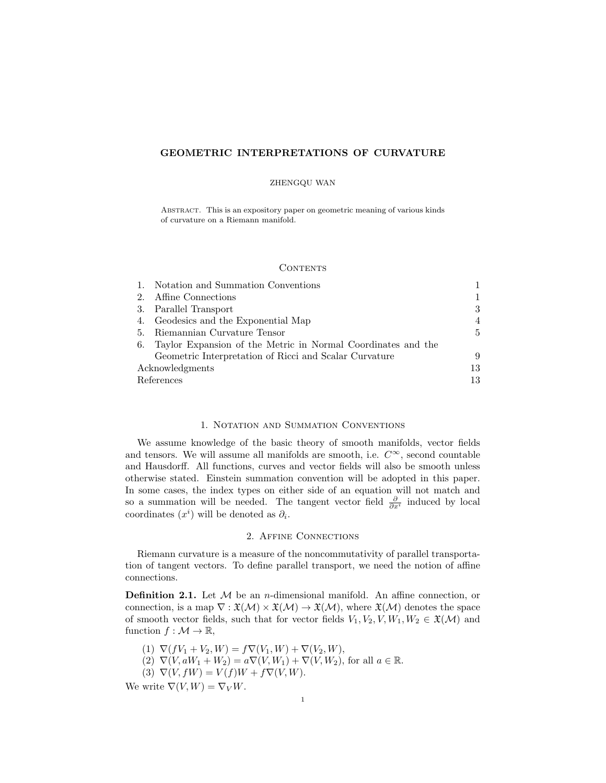# GEOMETRIC INTERPRETATIONS OF CURVATURE

#### ZHENGQU WAN

Abstract. This is an expository paper on geometric meaning of various kinds of curvature on a Riemann manifold.

### **CONTENTS**

|                 | Notation and Summation Conventions                           |                |
|-----------------|--------------------------------------------------------------|----------------|
| 2.              | Affine Connections                                           |                |
| 3.              | Parallel Transport                                           | 3              |
|                 | 4. Geodesics and the Exponential Map                         | 4              |
| -5.             | Riemannian Curvature Tensor                                  | $\overline{5}$ |
| 6.              | Taylor Expansion of the Metric in Normal Coordinates and the |                |
|                 | Geometric Interpretation of Ricci and Scalar Curvature       | 9              |
| Acknowledgments |                                                              | 13             |
| References      |                                                              | 13             |

### 1. Notation and Summation Conventions

We assume knowledge of the basic theory of smooth manifolds, vector fields and tensors. We will assume all manifolds are smooth, i.e.  $C^{\infty}$ , second countable and Hausdorff. All functions, curves and vector fields will also be smooth unless otherwise stated. Einstein summation convention will be adopted in this paper. In some cases, the index types on either side of an equation will not match and so a summation will be needed. The tangent vector field  $\frac{\partial}{\partial x^i}$  induced by local coordinates  $(x<sup>i</sup>)$  will be denoted as  $\partial_i$ .

### 2. Affine Connections

Riemann curvature is a measure of the noncommutativity of parallel transportation of tangent vectors. To define parallel transport, we need the notion of affine connections.

**Definition 2.1.** Let  $M$  be an *n*-dimensional manifold. An affine connection, or connection, is a map  $\nabla$  :  $\mathfrak{X}(\mathcal{M}) \times \mathfrak{X}(\mathcal{M}) \to \mathfrak{X}(\mathcal{M})$ , where  $\mathfrak{X}(\mathcal{M})$  denotes the space of smooth vector fields, such that for vector fields  $V_1, V_2, V, W_1, W_2 \in \mathfrak{X}(\mathcal{M})$  and function  $f : \mathcal{M} \to \mathbb{R}$ ,

(1)  $\nabla (fV_1 + V_2, W) = f\nabla (V_1, W) + \nabla (V_2, W),$ 

(2)  $\nabla(V, aW_1 + W_2) = a\nabla(V, W_1) + \nabla(V, W_2)$ , for all  $a \in \mathbb{R}$ .

(3)  $\nabla(V, fW) = V(f)W + f\nabla(V, W).$ 

We write  $\nabla(V, W) = \nabla_V W$ .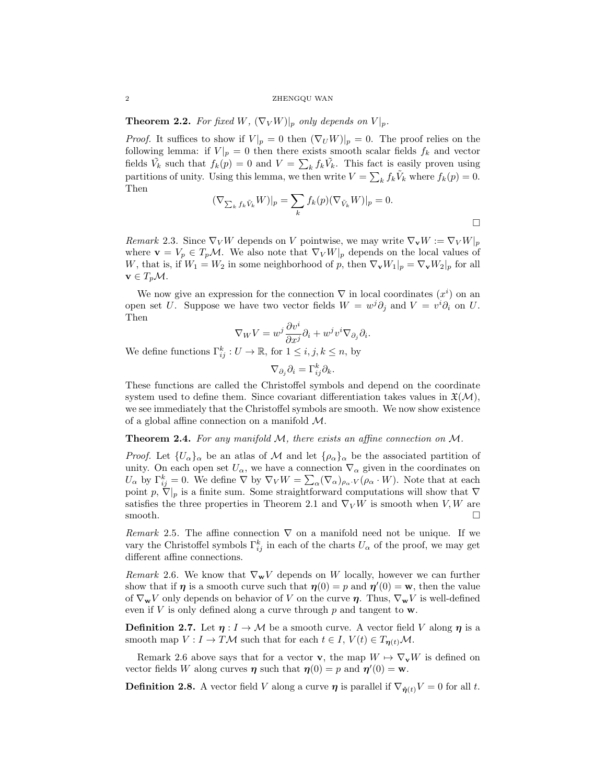2 ZHENGQU WAN

**Theorem 2.2.** For fixed W,  $(\nabla_V W)|_p$  only depends on  $V|_p$ .

*Proof.* It suffices to show if  $V|_p = 0$  then  $(\nabla_U W)|_p = 0$ . The proof relies on the following lemma: if  $V|_p = 0$  then there exists smooth scalar fields  $f_k$  and vector fields  $\tilde{V}_k$  such that  $f_k(p) = 0$  and  $V = \sum_k f_k \tilde{V}_k$ . This fact is easily proven using partitions of unity. Using this lemma, we then write  $V = \sum_{k} f_k \tilde{V}_k$  where  $f_k(p) = 0$ . Then

$$
(\nabla_{\sum_{k} f_k \tilde{V}_k} W)|_p = \sum_{k} f_k(p) (\nabla_{\tilde{V}_k} W)|_p = 0.
$$

Remark 2.3. Since  $\nabla_V W$  depends on V pointwise, we may write  $\nabla_V W := \nabla_V W|_p$ where  $\mathbf{v} = V_p \in T_p \mathcal{M}$ . We also note that  $\nabla_V W|_p$  depends on the local values of W, that is, if  $W_1 = W_2$  in some neighborhood of p, then  $\nabla_{\mathbf{v}} W_1|_p = \nabla_{\mathbf{v}} W_2|_p$  for all  $\mathbf{v} \in T_p \mathcal{M}.$ 

We now give an expression for the connection  $\nabla$  in local coordinates  $(x^{i})$  on an open set U. Suppose we have two vector fields  $W = w^{j} \partial_{j}$  and  $V = v^{i} \partial_{i}$  on U. Then

$$
\nabla_W V = w^j \frac{\partial v^i}{\partial x^j} \partial_i + w^j v^i \nabla_{\partial_j} \partial_i.
$$

We define functions  $\Gamma_{ij}^k : U \to \mathbb{R}$ , for  $1 \leq i, j, k \leq n$ , by

$$
\nabla_{\partial_j} \partial_i = \Gamma_{ij}^k \partial_k.
$$

These functions are called the Christoffel symbols and depend on the coordinate system used to define them. Since covariant differentiation takes values in  $\mathfrak{X}(\mathcal{M})$ , we see immediately that the Christoffel symbols are smooth. We now show existence of a global affine connection on a manifold M.

### **Theorem 2.4.** For any manifold  $M$ , there exists an affine connection on  $M$ .

*Proof.* Let  $\{U_\alpha\}_\alpha$  be an atlas of M and let  $\{\rho_\alpha\}_\alpha$  be the associated partition of unity. On each open set  $U_{\alpha}$ , we have a connection  $\nabla_{\alpha}$  given in the coordinates on  $U_{\alpha}$  by  $\Gamma_{ij}^k=0$ . We define  $\nabla$  by  $\nabla_V W = \sum_{\alpha} (\nabla_{\alpha})_{\rho_{\alpha} \cdot V} (\rho_{\alpha} \cdot W)$ . Note that at each point p,  $\nabla|_p$  is a finite sum. Some straightforward computations will show that  $\nabla$ satisfies the three properties in Theorem 2.1 and  $\nabla_V W$  is smooth when V, W are smooth.

Remark 2.5. The affine connection  $\nabla$  on a manifold need not be unique. If we vary the Christoffel symbols  $\Gamma_{ij}^k$  in each of the charts  $U_\alpha$  of the proof, we may get different affine connections.

Remark 2.6. We know that  $\nabla_{\mathbf{w}} V$  depends on W locally, however we can further show that if  $\eta$  is a smooth curve such that  $\eta(0) = p$  and  $\eta'(0) = w$ , then the value of  $\nabla_{\mathbf{w}}V$  only depends on behavior of V on the curve  $\eta$ . Thus,  $\nabla_{\mathbf{w}}V$  is well-defined even if  $V$  is only defined along a curve through  $p$  and tangent to  $w$ .

**Definition 2.7.** Let  $\eta: I \to M$  be a smooth curve. A vector field V along  $\eta$  is a smooth map  $V: I \to T\mathcal{M}$  such that for each  $t \in I$ ,  $V(t) \in T_{n(t)}\mathcal{M}$ .

Remark 2.6 above says that for a vector **v**, the map  $W \mapsto \nabla_{\mathbf{v}}W$  is defined on vector fields W along curves  $\eta$  such that  $\eta(0) = p$  and  $\eta'(0) = w$ .

**Definition 2.8.** A vector field V along a curve  $\eta$  is parallel if  $\nabla_{\dot{\eta}(t)}V = 0$  for all t.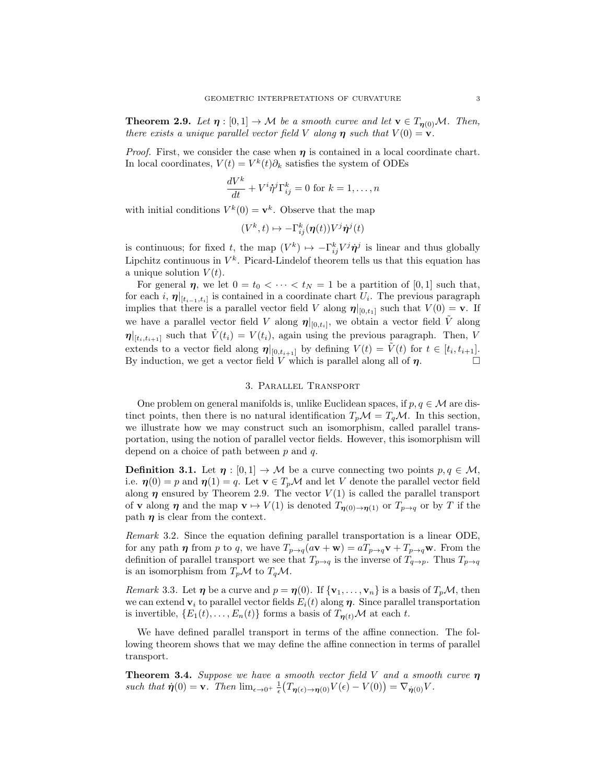**Theorem 2.9.** Let  $\eta : [0,1] \to M$  be a smooth curve and let  $\mathbf{v} \in T_{n(0)}M$ . Then, there exists a unique parallel vector field V along  $\eta$  such that  $V(0) = v$ .

*Proof.* First, we consider the case when  $\eta$  is contained in a local coordinate chart. In local coordinates,  $V(t) = V^k(t)\partial_k$  satisfies the system of ODEs

$$
\frac{dV^k}{dt} + V^i \dot{\eta}^j \Gamma^k_{ij} = 0 \text{ for } k = 1, \dots, n
$$

with initial conditions  $V^k(0) = \mathbf{v}^k$ . Observe that the map

$$
(V^k, t) \mapsto -\Gamma^k_{ij}(\boldsymbol{\eta}(t)) V^j \dot{\boldsymbol{\eta}}^j(t)
$$

is continuous; for fixed t, the map  $(V^k) \mapsto -\Gamma_{ij}^k V^j \dot{\eta}^j$  is linear and thus globally Lipchitz continuous in  $V^k$ . Picard-Lindelof theorem tells us that this equation has a unique solution  $V(t)$ .

For general  $\eta$ , we let  $0 = t_0 < \cdots < t_N = 1$  be a partition of [0, 1] such that, for each i,  $\eta|_{[t_{i-1},t_i]}$  is contained in a coordinate chart  $U_i$ . The previous paragraph implies that there is a parallel vector field V along  $\eta|_{[0,t_1]}$  such that  $V(0) = \mathbf{v}$ . If we have a parallel vector field V along  $\eta|_{[0,t_i]}$ , we obtain a vector field  $\tilde{V}$  along  $\eta|_{[t_i,t_{i+1}]}$  such that  $V(t_i) = V(t_i)$ , again using the previous paragraph. Then, V extends to a vector field along  $\eta|_{[0,t_{i+1}]}$  by defining  $V(t) = \tilde{V}(t)$  for  $t \in [t_i, t_{i+1}].$ By induction, we get a vector field V which is parallel along all of  $\eta$ .

# 3. Parallel Transport

One problem on general manifolds is, unlike Euclidean spaces, if  $p, q \in \mathcal{M}$  are distinct points, then there is no natural identification  $T_p \mathcal{M} = T_q \mathcal{M}$ . In this section, we illustrate how we may construct such an isomorphism, called parallel transportation, using the notion of parallel vector fields. However, this isomorphism will depend on a choice of path between  $p$  and  $q$ .

**Definition 3.1.** Let  $\eta : [0,1] \to M$  be a curve connecting two points  $p, q \in M$ , i.e.  $\eta(0) = p$  and  $\eta(1) = q$ . Let  $\mathbf{v} \in T_p \mathcal{M}$  and let V denote the parallel vector field along  $\eta$  ensured by Theorem 2.9. The vector  $V(1)$  is called the parallel transport of **v** along  $\eta$  and the map  $\mathbf{v} \mapsto V(1)$  is denoted  $T_{\eta(0)\to\eta(1)}$  or  $T_{p\to q}$  or by T if the path  $\eta$  is clear from the context.

Remark 3.2. Since the equation defining parallel transportation is a linear ODE, for any path  $\eta$  from p to q, we have  $T_{p\to q}(a\mathbf{v}+\mathbf{w}) = aT_{p\to q}\mathbf{v} + T_{p\to q}\mathbf{w}$ . From the definition of parallel transport we see that  $T_{p\to q}$  is the inverse of  $T_{q\to p}$ . Thus  $T_{p\to q}$ is an isomorphism from  $T_p\mathcal{M}$  to  $T_q\mathcal{M}$ .

*Remark* 3.3. Let  $\eta$  be a curve and  $p = \eta(0)$ . If  $\{v_1, \ldots, v_n\}$  is a basis of  $T_pM$ , then we can extend  $v_i$  to parallel vector fields  $E_i(t)$  along  $\eta$ . Since parallel transportation is invertible,  $\{E_1(t),...,E_n(t)\}\$ forms a basis of  $T_{n(t)}\mathcal{M}$  at each t.

We have defined parallel transport in terms of the affine connection. The following theorem shows that we may define the affine connection in terms of parallel transport.

**Theorem 3.4.** Suppose we have a smooth vector field V and a smooth curve  $\eta$ such that  $\dot{\eta}(0) = \mathbf{v}$ . Then  $\lim_{\epsilon \to 0^+} \frac{1}{\epsilon} \big( T_{\eta(\epsilon) \to \eta(0)} V(\epsilon) - V(0) \big) = \nabla_{\dot{\eta}(0)} V$ .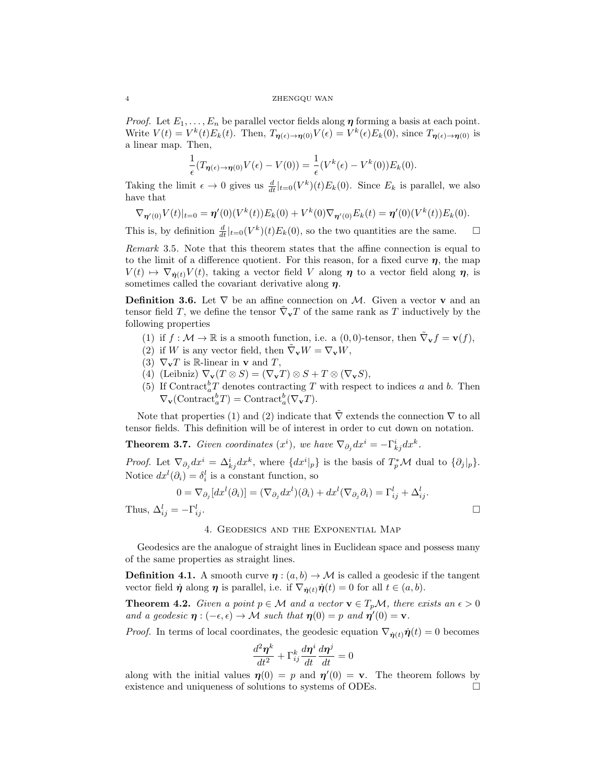*Proof.* Let  $E_1, \ldots, E_n$  be parallel vector fields along  $\eta$  forming a basis at each point. Write  $V(t) = V^k(t) E_k(t)$ . Then,  $T_{\eta(\epsilon) \to \eta(0)} V(\epsilon) = V^k(\epsilon) E_k(0)$ , since  $T_{\eta(\epsilon) \to \eta(0)}$  is a linear map. Then,

$$
\frac{1}{\epsilon}(T_{\pmb{\eta}(\epsilon)\to\pmb{\eta}(0)}V(\epsilon)-V(0))=\frac{1}{\epsilon}(V^k(\epsilon)-V^k(0))E_k(0).
$$

Taking the limit  $\epsilon \to 0$  gives us  $\frac{d}{dt}|_{t=0}(V^k)(t)E_k(0)$ . Since  $E_k$  is parallel, we also have that

$$
\nabla_{\boldsymbol{\eta}'(0)} V(t)|_{t=0} = \boldsymbol{\eta}'(0) (V^k(t)) E_k(0) + V^k(0) \nabla_{\boldsymbol{\eta}'(0)} E_k(t) = \boldsymbol{\eta}'(0) (V^k(t)) E_k(0).
$$

This is, by definition  $\frac{d}{dt}|_{t=0}(V^k)(t)E_k(0)$ , so the two quantities are the same.  $\Box$ 

Remark 3.5. Note that this theorem states that the affine connection is equal to to the limit of a difference quotient. For this reason, for a fixed curve  $\eta$ , the map  $V(t) \mapsto \nabla_{\dot{\eta}(t)} V(t)$ , taking a vector field V along  $\eta$  to a vector field along  $\eta$ , is sometimes called the covariant derivative along  $\eta$ .

**Definition 3.6.** Let  $\nabla$  be an affine connection on M. Given a vector **v** and an tensor field T, we define the tensor  $\tilde{\nabla}_{\mathbf{v}} T$  of the same rank as T inductively by the following properties

- (1) if  $f: \mathcal{M} \to \mathbb{R}$  is a smooth function, i.e. a  $(0,0)$ -tensor, then  $\tilde{\nabla}_{\mathbf{v}} f = \mathbf{v}(f)$ ,
- (2) if W is any vector field, then  $\tilde{\nabla}_{\mathbf{v}}W = \nabla_{\mathbf{v}}W$ ,
- (3)  $\nabla_{\mathbf{v}} T$  is R-linear in **v** and T,
- (4) (Leibniz)  $\nabla_{\mathbf{v}}(T \otimes S) = (\nabla_{\mathbf{v}} T) \otimes S + T \otimes (\nabla_{\mathbf{v}} S),$
- (5) If Contract<sup>b</sup><sub>a</sub>T denotes contracting T with respect to indices a and b. Then  $\nabla_{\mathbf{v}}(\text{Contract}_{a}^{b} T) = \text{Contract}_{a}^{b}(\nabla_{\mathbf{v}} T).$

Note that properties (1) and (2) indicate that  $\nabla$  extends the connection  $\nabla$  to all tensor fields. This definition will be of interest in order to cut down on notation.

**Theorem 3.7.** Given coordinates  $(x^{i})$ , we have  $\nabla_{\partial_{j}}dx^{i} = -\Gamma^{i}_{kj}dx^{k}$ .

*Proof.* Let  $\nabla_{\partial_j} dx^i = \Delta_{kj}^i dx^k$ , where  $\{dx^i|_p\}$  is the basis of  $T_p^* \mathcal{M}$  dual to  $\{\partial_j|_p\}$ . Notice  $dx^{l}(\partial_{i}) = \delta_{i}^{l}$  is a constant function, so

$$
0 = \nabla_{\partial_j} [dx^l(\partial_i)] = (\nabla_{\partial_j} dx^l)(\partial_i) + dx^l(\nabla_{\partial_j} \partial_i) = \Gamma_{ij}^l + \Delta_{ij}^l.
$$
  
=  $-\Gamma_{ij}^l$ .

Thus,  $\Delta_{ij}^l = -\Gamma_{i}^l$ 

4. Geodesics and the Exponential Map

Geodesics are the analogue of straight lines in Euclidean space and possess many of the same properties as straight lines.

**Definition 4.1.** A smooth curve  $\eta$  :  $(a, b) \rightarrow M$  is called a geodesic if the tangent vector field  $\eta$  along  $\eta$  is parallel, i.e. if  $\nabla_{\dot{\eta}(t)}\dot{\eta}(t) = 0$  for all  $t \in (a, b)$ .

**Theorem 4.2.** Given a point  $p \in \mathcal{M}$  and a vector  $\mathbf{v} \in T_p\mathcal{M}$ , there exists an  $\epsilon > 0$ and a geodesic  $\eta : (-\epsilon, \epsilon) \to \mathcal{M}$  such that  $\eta(0) = p$  and  $\eta'(0) = v$ .

*Proof.* In terms of local coordinates, the geodesic equation  $\nabla_{\dot{\eta}(t)}\dot{\eta}(t) = 0$  becomes

$$
\frac{d^2\boldsymbol{\eta}^k}{dt^2} + \Gamma^k_{ij} \frac{d\boldsymbol{\eta}^i}{dt} \frac{d\boldsymbol{\eta}^j}{dt} = 0
$$

along with the initial values  $\eta(0) = p$  and  $\eta'(0) = v$ . The theorem follows by existence and uniqueness of solutions to systems of ODEs.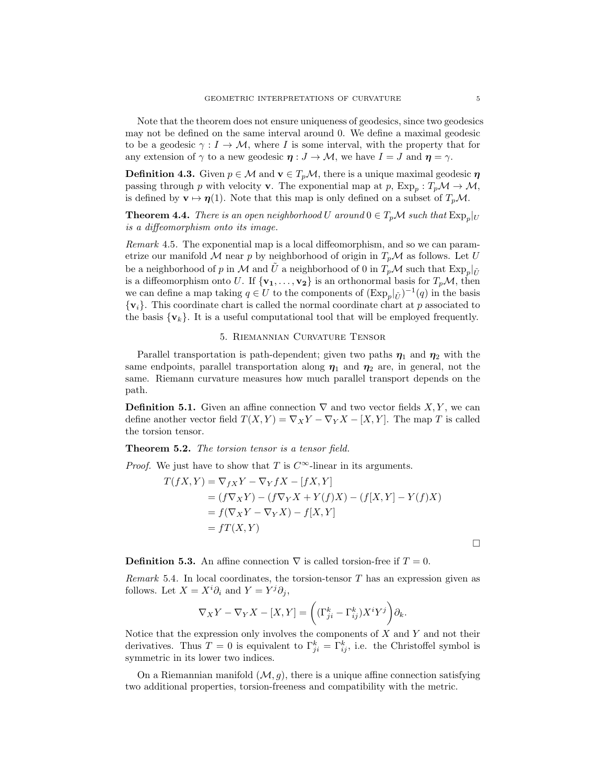Note that the theorem does not ensure uniqueness of geodesics, since two geodesics may not be defined on the same interval around 0. We define a maximal geodesic to be a geodesic  $\gamma : I \to M$ , where I is some interval, with the property that for any extension of  $\gamma$  to a new geodesic  $\eta : J \to M$ , we have  $I = J$  and  $\eta = \gamma$ .

**Definition 4.3.** Given  $p \in \mathcal{M}$  and  $\mathbf{v} \in T_p\mathcal{M}$ , there is a unique maximal geodesic  $\eta$ passing through p with velocity **v**. The exponential map at p,  $Exp_p: T_p\mathcal{M} \to \mathcal{M}$ , is defined by  $\mathbf{v} \mapsto \eta(1)$ . Note that this map is only defined on a subset of  $T_p\mathcal{M}$ .

**Theorem 4.4.** There is an open neighborhood U around  $0 \in T_p \mathcal{M}$  such that  $\text{Exp}_p|_U$ is a diffeomorphism onto its image.

Remark 4.5. The exponential map is a local diffeomorphism, and so we can parametrize our manifold M near p by neighborhood of origin in  $T_p\mathcal{M}$  as follows. Let U be a neighborhood of  $p$  in  $\mathcal M$  and  $\tilde U$  a neighborhood of 0 in  $T_p\mathcal M$  such that  $\mathrm{Exp}_p|_{\tilde U}$ is a diffeomorphism onto U. If  $\{v_1, \ldots, v_2\}$  is an orthonormal basis for  $T_p\mathcal{M}$ , then we can define a map taking  $q \in U$  to the components of  $(\text{Exp}_p|_{\tilde{U}})^{-1}(q)$  in the basis  $\{v_i\}$ . This coordinate chart is called the normal coordinate chart at p associated to the basis  $\{v_k\}$ . It is a useful computational tool that will be employed frequently.

## 5. Riemannian Curvature Tensor

Parallel transportation is path-dependent; given two paths  $\eta_1$  and  $\eta_2$  with the same endpoints, parallel transportation along  $\eta_1$  and  $\eta_2$  are, in general, not the same. Riemann curvature measures how much parallel transport depends on the path.

**Definition 5.1.** Given an affine connection  $\nabla$  and two vector fields X, Y, we can define another vector field  $T(X, Y) = \nabla_X Y - \nabla_Y X - [X, Y]$ . The map T is called the torsion tensor.

### Theorem 5.2. The torsion tensor is a tensor field.

*Proof.* We just have to show that T is  $C^{\infty}$ -linear in its arguments.

$$
T(fX,Y) = \nabla_{fX}Y - \nabla_{Y}fX - [fX,Y]
$$
  
=  $(f\nabla_{X}Y) - (f\nabla_{Y}X + Y(f)X) - (f[X,Y] - Y(f)X)$   
=  $f(\nabla_{X}Y - \nabla_{Y}X) - f[X,Y]$   
=  $fT(X,Y)$ 

**Definition 5.3.** An affine connection  $\nabla$  is called torsion-free if  $T = 0$ .

*Remark* 5.4. In local coordinates, the torsion-tensor  $T$  has an expression given as follows. Let  $X = X^i \partial_i$  and  $Y = Y^j \partial_j$ ,

$$
\nabla_X Y - \nabla_Y X - [X, Y] = \left( (\Gamma_{ji}^k - \Gamma_{ij}^k) X^i Y^j \right) \partial_k.
$$

Notice that the expression only involves the components of  $X$  and  $Y$  and not their derivatives. Thus  $T=0$  is equivalent to  $\Gamma_{ji}^k=\Gamma_{ij}^k$ , i.e. the Christoffel symbol is symmetric in its lower two indices.

On a Riemannian manifold  $(\mathcal{M}, g)$ , there is a unique affine connection satisfying two additional properties, torsion-freeness and compatibility with the metric.

 $\Box$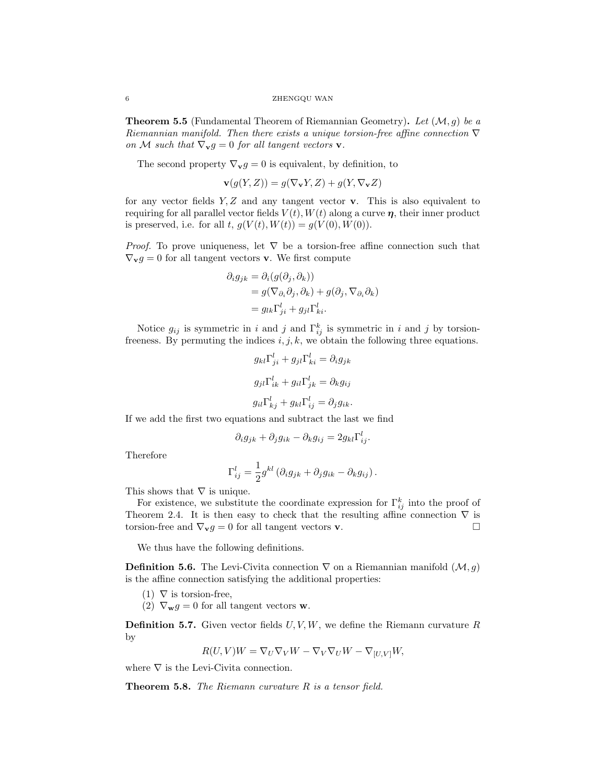**Theorem 5.5** (Fundamental Theorem of Riemannian Geometry). Let  $(\mathcal{M}, g)$  be a Riemannian manifold. Then there exists a unique torsion-free affine connection  $\nabla$ on M such that  $\nabla_{\mathbf{v}}g = 0$  for all tangent vectors **v**.

The second property  $\nabla_{\mathbf{v}} g = 0$  is equivalent, by definition, to

$$
\mathbf{v}(g(Y, Z)) = g(\nabla_{\mathbf{v}} Y, Z) + g(Y, \nabla_{\mathbf{v}} Z)
$$

for any vector fields  $Y, Z$  and any tangent vector **v**. This is also equivalent to requiring for all parallel vector fields  $V(t)$ ,  $W(t)$  along a curve  $\eta$ , their inner product is preserved, i.e. for all t,  $g(V(t), W(t)) = g(V(0), W(0)).$ 

*Proof.* To prove uniqueness, let  $\nabla$  be a torsion-free affine connection such that  $\nabla_{\mathbf{v}}g = 0$  for all tangent vectors **v**. We first compute

$$
\partial_i g_{jk} = \partial_i (g(\partial_j, \partial_k))
$$
  
=  $g(\nabla_{\partial_i} \partial_j, \partial_k) + g(\partial_j, \nabla_{\partial_i} \partial_k)$   
=  $g_{lk} \Gamma_{ji}^l + g_{jl} \Gamma_{ki}^l$ .

Notice  $g_{ij}$  is symmetric in i and j and  $\Gamma_{ij}^k$  is symmetric in i and j by torsionfreeness. By permuting the indices  $i, j, k$ , we obtain the following three equations.

$$
g_{kl}\Gamma_{ji}^{l} + g_{jl}\Gamma_{ki}^{l} = \partial_{i}g_{jk}
$$

$$
g_{jl}\Gamma_{ik}^{l} + g_{il}\Gamma_{jk}^{l} = \partial_{k}g_{ij}
$$

$$
g_{il}\Gamma_{kj}^{l} + g_{kl}\Gamma_{ij}^{l} = \partial_{j}g_{ik}.
$$

If we add the first two equations and subtract the last we find

$$
\partial_i g_{jk} + \partial_j g_{ik} - \partial_k g_{ij} = 2g_{kl} \Gamma_{ij}^l.
$$

Therefore

$$
\Gamma_{ij}^l = \frac{1}{2} g^{kl} \left( \partial_i g_{jk} + \partial_j g_{ik} - \partial_k g_{ij} \right).
$$

This shows that  $\nabla$  is unique.

For existence, we substitute the coordinate expression for  $\Gamma_{ij}^k$  into the proof of Theorem 2.4. It is then easy to check that the resulting affine connection  $\nabla$  is torsion-free and  $\nabla_{\mathbf{v}}g = 0$  for all tangent vectors **v**.

We thus have the following definitions.

**Definition 5.6.** The Levi-Civita connection  $\nabla$  on a Riemannian manifold  $(\mathcal{M}, g)$ is the affine connection satisfying the additional properties:

- $(1)$   $\nabla$  is torsion-free,
- (2)  $\nabla_{\mathbf{w}} g = 0$  for all tangent vectors **w**.

**Definition 5.7.** Given vector fields  $U, V, W$ , we define the Riemann curvature R by

$$
R(U,V)W = \nabla_U \nabla_V W - \nabla_V \nabla_U W - \nabla_{[U,V]} W,
$$

where  $\nabla$  is the Levi-Civita connection.

**Theorem 5.8.** The Riemann curvature  $R$  is a tensor field.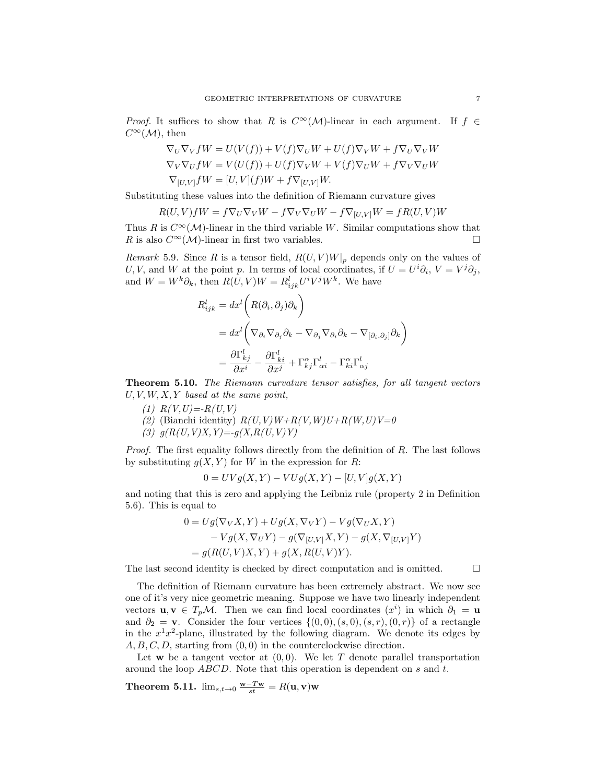*Proof.* It suffices to show that R is  $C^{\infty}(\mathcal{M})$ -linear in each argument. If  $f \in$  $C^{\infty}(\mathcal{M})$ , then

$$
\nabla_U \nabla_V fW = U(V(f)) + V(f) \nabla_U W + U(f) \nabla_V W + f \nabla_U \nabla_V W
$$
  
\n
$$
\nabla_V \nabla_U fW = V(U(f)) + U(f) \nabla_V W + V(f) \nabla_U W + f \nabla_V \nabla_U W
$$
  
\n
$$
\nabla_{[U,V]} fW = [U,V](f)W + f \nabla_{[U,V]} W.
$$

Substituting these values into the definition of Riemann curvature gives

$$
R(U,V)fW = f\nabla_U \nabla_V W - f\nabla_V \nabla_U W - f\nabla_{[U,V]} W = fR(U,V)W
$$

Thus R is  $C^{\infty}(\mathcal{M})$ -linear in the third variable W. Similar computations show that R is also  $C^{\infty}(\mathcal{M})$ -linear in first two variables.

Remark 5.9. Since R is a tensor field,  $R(U, V)W|_p$  depends only on the values of U, V, and W at the point p. In terms of local coordinates, if  $U = U^i \partial_i$ ,  $V = V^j \partial_j$ , and  $W = W^k \partial_k$ , then  $R(U, V)W = R^l_{ijk} U^i V^j W^k$ . We have

$$
R_{ijk}^{l} = dx^{l} \left( R(\partial_{i}, \partial_{j}) \partial_{k} \right)
$$
  
=  $dx^{l} \left( \nabla_{\partial_{i}} \nabla_{\partial_{j}} \partial_{k} - \nabla_{\partial_{j}} \nabla_{\partial_{i}} \partial_{k} - \nabla_{[\partial_{i}, \partial_{j}]} \partial_{k} \right)$   
=  $\frac{\partial \Gamma_{kj}^{l}}{\partial x^{i}} - \frac{\partial \Gamma_{ki}^{l}}{\partial x^{j}} + \Gamma_{kj}^{\alpha} \Gamma_{\alpha i}^{l} - \Gamma_{ki}^{\alpha} \Gamma_{\alpha j}^{l}$ 

Theorem 5.10. The Riemann curvature tensor satisfies, for all tangent vectors  $U, V, W, X, Y$  based at the same point,

- (1)  $R(V, U) = -R(U, V)$
- (2) (Bianchi identity)  $R(U, V)W + R(V, W)U + R(W, U)V = 0$
- (3)  $q(R(U,V)X,Y) = -q(X,R(U,V)Y)$

Proof. The first equality follows directly from the definition of R. The last follows by substituting  $g(X, Y)$  for W in the expression for R:

$$
0 = UVg(X,Y) - VUg(X,Y) - [U,V]g(X,Y)
$$

and noting that this is zero and applying the Leibniz rule (property 2 in Definition 5.6). This is equal to

$$
0 = Ug(\nabla_V X, Y) + Ug(X, \nabla_V Y) - Vg(\nabla_U X, Y)
$$
  
- 
$$
Vg(X, \nabla_V Y) - g(\nabla_{[U,V]} X, Y) - g(X, \nabla_{[U,V]} Y)
$$
  
= 
$$
g(R(U, V)X, Y) + g(X, R(U, V)Y).
$$

The last second identity is checked by direct computation and is omitted.  $\Box$ 

The definition of Riemann curvature has been extremely abstract. We now see one of it's very nice geometric meaning. Suppose we have two linearly independent vectors  $\mathbf{u}, \mathbf{v} \in T_p \mathcal{M}$ . Then we can find local coordinates  $(x^i)$  in which  $\partial_1 = \mathbf{u}$ and  $\partial_2 = \mathbf{v}$ . Consider the four vertices  $\{(0,0), (s,0), (s,r), (0,r)\}$  of a rectangle in the  $x^1x^2$ -plane, illustrated by the following diagram. We denote its edges by  $A, B, C, D$ , starting from  $(0, 0)$  in the counterclockwise direction.

Let **w** be a tangent vector at  $(0, 0)$ . We let T denote parallel transportation around the loop ABCD. Note that this operation is dependent on s and t.

Theorem 5.11.  $\lim_{s,t\to 0} \frac{\mathbf{w}-T\mathbf{w}}{st} = R(\mathbf{u}, \mathbf{v})\mathbf{w}$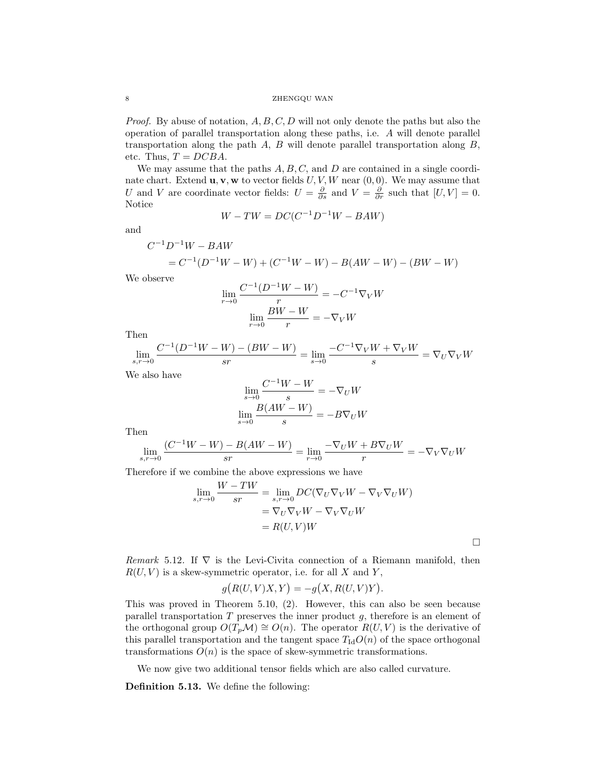*Proof.* By abuse of notation,  $A, B, C, D$  will not only denote the paths but also the operation of parallel transportation along these paths, i.e. A will denote parallel transportation along the path  $A$ ,  $B$  will denote parallel transportation along  $B$ , etc. Thus,  $T = DCBA$ .

We may assume that the paths  $A, B, C$ , and  $D$  are contained in a single coordinate chart. Extend  $\mathbf{u}, \mathbf{v}, \mathbf{w}$  to vector fields  $U, V, W$  near  $(0, 0)$ . We may assume that U and V are coordinate vector fields:  $U = \frac{\partial}{\partial s}$  and  $V = \frac{\partial}{\partial r}$  such that  $[U, V] = 0$ . Notice

$$
W - TW = DC(C^{-1}D^{-1}W - BAW)
$$

and

$$
C^{-1}D^{-1}W - BAW
$$
  
=  $C^{-1}(D^{-1}W - W) + (C^{-1}W - W) - B(AW - W) - (BW - W)$ 

We observe

$$
\lim_{r \to 0} \frac{C^{-1}(D^{-1}W - W)}{r} = -C^{-1} \nabla_V W
$$

$$
\lim_{r \to 0} \frac{BW - W}{r} = -\nabla_V W
$$

Then

$$
\lim_{s,r \to 0} \frac{C^{-1}(D^{-1}W - W) - (BW - W)}{sr} = \lim_{s \to 0} \frac{-C^{-1}\nabla_V W + \nabla_V W}{s} = \nabla_U \nabla_V W
$$

We also have

$$
\lim_{s \to 0} \frac{C^{-1}W - W}{s} = -\nabla_U W
$$

$$
\lim_{s \to 0} \frac{B(AW - W)}{s} = -B\nabla_U W
$$

Then

$$
\lim_{s,r\to 0} \frac{(C^{-1}W - W) - B(AW - W)}{sr} = \lim_{r\to 0} \frac{-\nabla_U W + B\nabla_U W}{r} = -\nabla_V \nabla_U W
$$

Therefore if we combine the above expressions we have

$$
\lim_{s,r \to 0} \frac{W - TW}{sr} = \lim_{s,r \to 0} DC(\nabla_U \nabla_V W - \nabla_V \nabla_U W)
$$

$$
= \nabla_U \nabla_V W - \nabla_V \nabla_U W
$$

$$
= R(U,V)W
$$

 $\Box$ 

Remark 5.12. If  $\nabla$  is the Levi-Civita connection of a Riemann manifold, then  $R(U, V)$  is a skew-symmetric operator, i.e. for all X and Y,

$$
g(R(U,V)X,Y) = -g(X,R(U,V)Y).
$$

This was proved in Theorem 5.10, (2). However, this can also be seen because parallel transportation  $T$  preserves the inner product  $g$ , therefore is an element of the orthogonal group  $O(T_p\mathcal{M}) \cong O(n)$ . The operator  $R(U, V)$  is the derivative of this parallel transportation and the tangent space  $T_{\rm Id}O(n)$  of the space orthogonal transformations  $O(n)$  is the space of skew-symmetric transformations.

We now give two additional tensor fields which are also called curvature.

Definition 5.13. We define the following: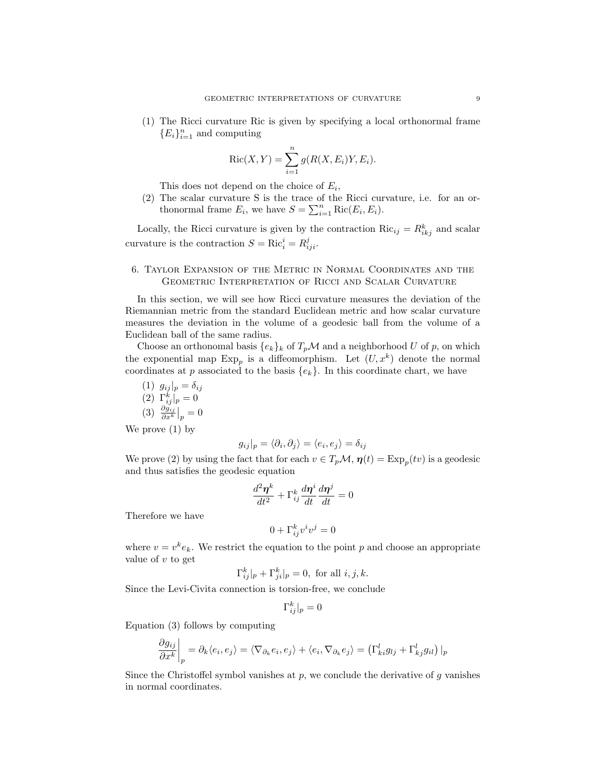(1) The Ricci curvature Ric is given by specifying a local orthonormal frame  ${E<sub>i</sub>}<sub>i=1</sub><sup>n</sup>$  and computing

$$
Ric(X, Y) = \sum_{i=1}^{n} g(R(X, E_i)Y, E_i).
$$

This does not depend on the choice of  $E_i$ ,

(2) The scalar curvature S is the trace of the Ricci curvature, i.e. for an orthonormal frame  $E_i$ , we have  $S = \sum_{i=1}^n \text{Ric}(E_i, E_i)$ .

Locally, the Ricci curvature is given by the contraction  $Ric_{ij} = R_{ikj}^k$  and scalar curvature is the contraction  $S = \text{Ric}_i^i = R_{iji}^j$ .

# 6. Taylor Expansion of the Metric in Normal Coordinates and the Geometric Interpretation of Ricci and Scalar Curvature

In this section, we will see how Ricci curvature measures the deviation of the Riemannian metric from the standard Euclidean metric and how scalar curvature measures the deviation in the volume of a geodesic ball from the volume of a Euclidean ball of the same radius.

Choose an orthonomal basis  $\{e_k\}_k$  of  $T_p\mathcal{M}$  and a neighborhood U of p, on which the exponential map  $Exp_p$  is a diffeomorphism. Let  $(U, x^k)$  denote the normal coordinates at p associated to the basis  ${e_k}$ . In this coordinate chart, we have

$$
(1) g_{ij}|_p = \delta_{ij}
$$
  
\n
$$
(2) \Gamma^k_{ij}|_p = 0
$$
  
\n
$$
(3) \frac{\partial g_{ij}}{\partial x^k}|_p = 0
$$

We prove (1) by

$$
g_{ij}|_p = \langle \partial_i, \partial_j \rangle = \langle e_i, e_j \rangle = \delta_{ij}
$$

We prove (2) by using the fact that for each  $v \in T_p \mathcal{M}$ ,  $\eta(t) = \text{Exp}_p(tv)$  is a geodesic and thus satisfies the geodesic equation

$$
\frac{d^2\boldsymbol{\eta}^k}{dt^2}+\Gamma_{ij}^k\frac{d\boldsymbol{\eta}^i}{dt}\frac{d\boldsymbol{\eta}^j}{dt}=0
$$

Therefore we have

$$
0 + \Gamma_{ij}^k v^i v^j = 0
$$

where  $v = v^k e_k$ . We restrict the equation to the point p and choose an appropriate value of  $v$  to get

$$
\Gamma_{ij}^k|_p + \Gamma_{ji}^k|_p = 0
$$
, for all  $i, j, k$ .

Since the Levi-Civita connection is torsion-free, we conclude

$$
\Gamma_{ij}^k|_p=0
$$

Equation (3) follows by computing

$$
\left. \frac{\partial g_{ij}}{\partial x^k} \right|_p = \partial_k \langle e_i, e_j \rangle = \langle \nabla_{\partial_k} e_i, e_j \rangle + \langle e_i, \nabla_{\partial_k} e_j \rangle = \left( \Gamma^l_{ki} g_{lj} + \Gamma^l_{kj} g_{il} \right) \Big|_p
$$

Since the Christoffel symbol vanishes at  $p$ , we conclude the derivative of  $g$  vanishes in normal coordinates.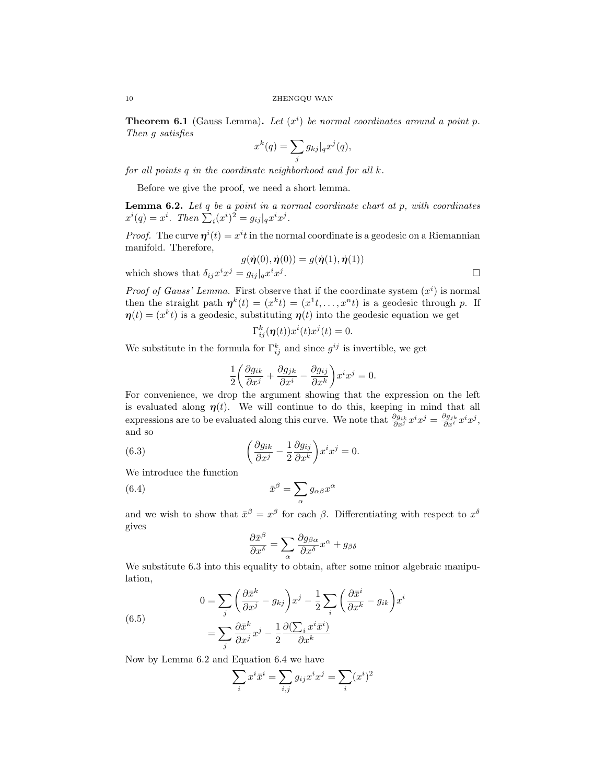**Theorem 6.1** (Gauss Lemma). Let  $(x^i)$  be normal coordinates around a point p. Then g satisfies

$$
x^{k}(q) = \sum_{j} g_{kj} |_{q} x^{j}(q),
$$

for all points  $q$  in the coordinate neighborhood and for all  $k$ .

Before we give the proof, we need a short lemma.

**Lemma 6.2.** Let  $q$  be a point in a normal coordinate chart at  $p$ , with coordinates  $x^{i}(q) = x^{i}$ . Then  $\sum_{i} (x^{i})^{2} = g_{ij}|_{q} x^{i} x^{j}$ .

*Proof.* The curve  $\eta^{i}(t) = x^{i}t$  in the normal coordinate is a geodesic on a Riemannian manifold. Therefore,

$$
g(\dot{\boldsymbol{\eta}}(0), \dot{\boldsymbol{\eta}}(0)) = g(\dot{\boldsymbol{\eta}}(1), \dot{\boldsymbol{\eta}}(1))
$$
\nwhich shows that  $\delta_{ij} x^i x^j = g_{ij}|_{q} x^i x^j$ .

*Proof of Gauss' Lemma.* First observe that if the coordinate system  $(x<sup>i</sup>)$  is normal then the straight path  $\eta^k(t) = (x^k t) = (x^1 t, \dots, x^n t)$  is a geodesic through p. If  $\eta(t) = (x^k t)$  is a geodesic, substituting  $\eta(t)$  into the geodesic equation we get

$$
\Gamma_{ij}^k(\boldsymbol{\eta}(t))x^i(t)x^j(t) = 0.
$$

We substitute in the formula for  $\Gamma_{ij}^k$  and since  $g^{ij}$  is invertible, we get

$$
\frac{1}{2} \left( \frac{\partial g_{ik}}{\partial x^j} + \frac{\partial g_{jk}}{\partial x^i} - \frac{\partial g_{ij}}{\partial x^k} \right) x^i x^j = 0.
$$

For convenience, we drop the argument showing that the expression on the left is evaluated along  $\eta(t)$ . We will continue to do this, keeping in mind that all expressions are to be evaluated along this curve. We note that  $\frac{\partial g_{ik}}{\partial x^j} x^i x^j = \frac{\partial g_{jk}}{\partial x^i} x^i x^j$ , and so

(6.3) 
$$
\left(\frac{\partial g_{ik}}{\partial x^j} - \frac{1}{2} \frac{\partial g_{ij}}{\partial x^k}\right) x^i x^j = 0.
$$

We introduce the function

(6.4) 
$$
\bar{x}^{\beta} = \sum_{\alpha} g_{\alpha\beta} x^{\alpha}
$$

and we wish to show that  $\bar{x}^{\beta} = x^{\beta}$  for each  $\beta$ . Differentiating with respect to  $x^{\delta}$ gives

$$
\frac{\partial \bar{x}^{\beta}}{\partial x^{\delta}} = \sum_{\alpha} \frac{\partial g_{\beta \alpha}}{\partial x^{\delta}} x^{\alpha} + g_{\beta \delta}
$$

We substitute 6.3 into this equality to obtain, after some minor algebraic manipulation,

(6.5)  
\n
$$
0 = \sum_{j} \left( \frac{\partial \bar{x}^{k}}{\partial x^{j}} - g_{kj} \right) x^{j} - \frac{1}{2} \sum_{i} \left( \frac{\partial \bar{x}^{i}}{\partial x^{k}} - g_{ik} \right) x^{i}
$$
\n
$$
= \sum_{j} \frac{\partial \bar{x}^{k}}{\partial x^{j}} x^{j} - \frac{1}{2} \frac{\partial (\sum_{i} x^{i} \bar{x}^{i})}{\partial x^{k}}
$$

Now by Lemma 6.2 and Equation 6.4 we have

$$
\sum_{i} x^i \bar{x}^i = \sum_{i,j} g_{ij} x^i x^j = \sum_{i} (x^i)^2
$$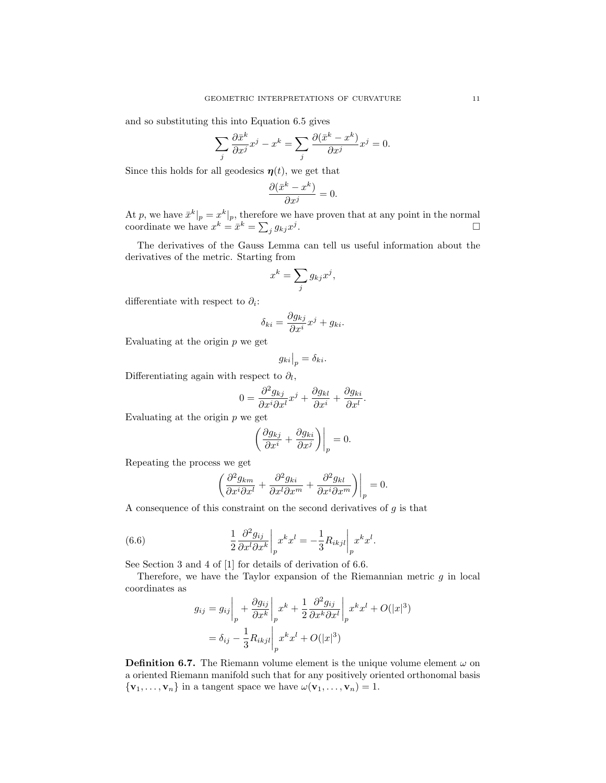and so substituting this into Equation 6.5 gives

$$
\sum_j \frac{\partial \bar{x}^k}{\partial x^j} x^j - x^k = \sum_j \frac{\partial (\bar{x}^k - x^k)}{\partial x^j} x^j = 0.
$$

Since this holds for all geodesics  $\eta(t)$ , we get that

$$
\frac{\partial(\bar{x}^k - x^k)}{\partial x^j} = 0.
$$

At p, we have  $\bar{x}^k|_p = x^k|_p$ , therefore we have proven that at any point in the normal coordinate we have  $x^k = \bar{x}^k = \sum_j g_{kj} x^j$ .

The derivatives of the Gauss Lemma can tell us useful information about the derivatives of the metric. Starting from

$$
x^k = \sum_j g_{kj} x^j,
$$

differentiate with respect to  $\partial_i$ :

$$
\delta_{ki} = \frac{\partial g_{kj}}{\partial x^i} x^j + g_{ki}.
$$

Evaluating at the origin  $p$  we get

$$
g_{ki}|_{p} = \delta_{ki}.
$$

Differentiating again with respect to  $\partial_l$ ,

$$
0 = \frac{\partial^2 g_{kj}}{\partial x^i \partial x^l} x^j + \frac{\partial g_{kl}}{\partial x^i} + \frac{\partial g_{ki}}{\partial x^l}.
$$

Evaluating at the origin  $p$  we get

$$
\left(\frac{\partial g_{kj}}{\partial x^i} + \frac{\partial g_{ki}}{\partial x^j}\right)\bigg|_p = 0.
$$

Repeating the process we get

$$
\left. \left( \frac{\partial^2 g_{km}}{\partial x^i \partial x^l} + \frac{\partial^2 g_{ki}}{\partial x^l \partial x^m} + \frac{\partial^2 g_{kl}}{\partial x^i \partial x^m} \right) \right|_p = 0.
$$

A consequence of this constraint on the second derivatives of  $g$  is that

(6.6) 
$$
\frac{1}{2} \frac{\partial^2 g_{ij}}{\partial x^l \partial x^k} \bigg|_p x^k x^l = -\frac{1}{3} R_{ikjl} \bigg|_p x^k x^l.
$$

See Section 3 and 4 of [1] for details of derivation of 6.6.

Therefore, we have the Taylor expansion of the Riemannian metric  $g$  in local coordinates as

$$
g_{ij} = g_{ij} \Big|_{p} + \frac{\partial g_{ij}}{\partial x^{k}} \Big|_{p} x^{k} + \frac{1}{2} \frac{\partial^{2} g_{ij}}{\partial x^{k} \partial x^{l}} \Big|_{p} x^{k} x^{l} + O(|x|^{3})
$$

$$
= \delta_{ij} - \frac{1}{3} R_{ikjl} \Big|_{p} x^{k} x^{l} + O(|x|^{3})
$$

**Definition 6.7.** The Riemann volume element is the unique volume element  $\omega$  on a oriented Riemann manifold such that for any positively oriented orthonomal basis  $\{v_1, \ldots, v_n\}$  in a tangent space we have  $\omega(v_1, \ldots, v_n) = 1$ .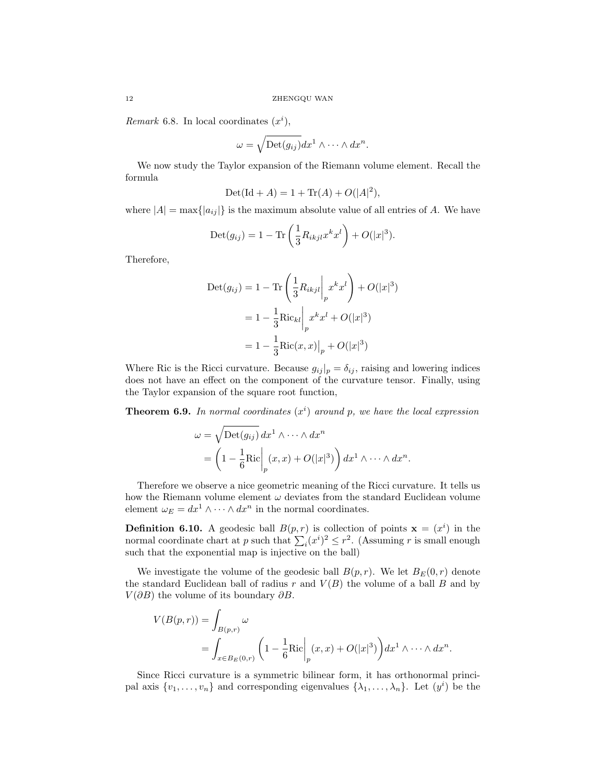Remark 6.8. In local coordinates  $(x<sup>i</sup>)$ ,

$$
\omega = \sqrt{\text{Det}(g_{ij})} dx^1 \wedge \cdots \wedge dx^n.
$$

We now study the Taylor expansion of the Riemann volume element. Recall the formula

$$
Det(Id + A) = 1 + Tr(A) + O(|A|^2),
$$

where  $|A| = \max\{|a_{ij}|\}$  is the maximum absolute value of all entries of A. We have

$$
Det(g_{ij}) = 1 - \text{Tr}\left(\frac{1}{3}R_{ikjl}x^k x^l\right) + O(|x|^3).
$$

Therefore,

$$
Det(g_{ij}) = 1 - \text{Tr}\left(\frac{1}{3}R_{ikjl}\Big|_{p}x^{k}x^{l}\right) + O(|x|^{3})
$$

$$
= 1 - \frac{1}{3}\text{Ric}_{kl}\Big|_{p}x^{k}x^{l} + O(|x|^{3})
$$

$$
= 1 - \frac{1}{3}\text{Ric}(x, x)\Big|_{p} + O(|x|^{3})
$$

Where Ric is the Ricci curvature. Because  $g_{ij}|_p = \delta_{ij}$ , raising and lowering indices does not have an effect on the component of the curvature tensor. Finally, using the Taylor expansion of the square root function,

**Theorem 6.9.** In normal coordinates  $(x<sup>i</sup>)$  around p, we have the local expression

$$
\omega = \sqrt{\text{Det}(g_{ij})} dx^1 \wedge \cdots \wedge dx^n
$$
  
=  $\left(1 - \frac{1}{6} \text{Ric} \middle|_p (x, x) + O(|x|^3) \right) dx^1 \wedge \cdots \wedge dx^n.$ 

Therefore we observe a nice geometric meaning of the Ricci curvature. It tells us how the Riemann volume element  $\omega$  deviates from the standard Euclidean volume element  $\omega_E = dx^1 \wedge \cdots \wedge dx^n$  in the normal coordinates.

**Definition 6.10.** A geodesic ball  $B(p,r)$  is collection of points  $\mathbf{x} = (x^i)$  in the normal coordinate chart at p such that  $\sum_i (x^i)^2 \leq r^2$ . (Assuming r is small enough such that the exponential map is injective on the ball)

We investigate the volume of the geodesic ball  $B(p, r)$ . We let  $B<sub>E</sub>(0, r)$  denote the standard Euclidean ball of radius r and  $V(B)$  the volume of a ball B and by  $V(\partial B)$  the volume of its boundary  $\partial B$ .

$$
V(B(p,r)) = \int_{B(p,r)} \omega
$$
  
= 
$$
\int_{x \in B_E(0,r)} \left(1 - \frac{1}{6} \text{Ric} \middle|_p (x,x) + O(|x|^3) \right) dx^1 \wedge \dots \wedge dx^n.
$$

Since Ricci curvature is a symmetric bilinear form, it has orthonormal principal axis  $\{v_1, \ldots, v_n\}$  and corresponding eigenvalues  $\{\lambda_1, \ldots, \lambda_n\}$ . Let  $(y^i)$  be the